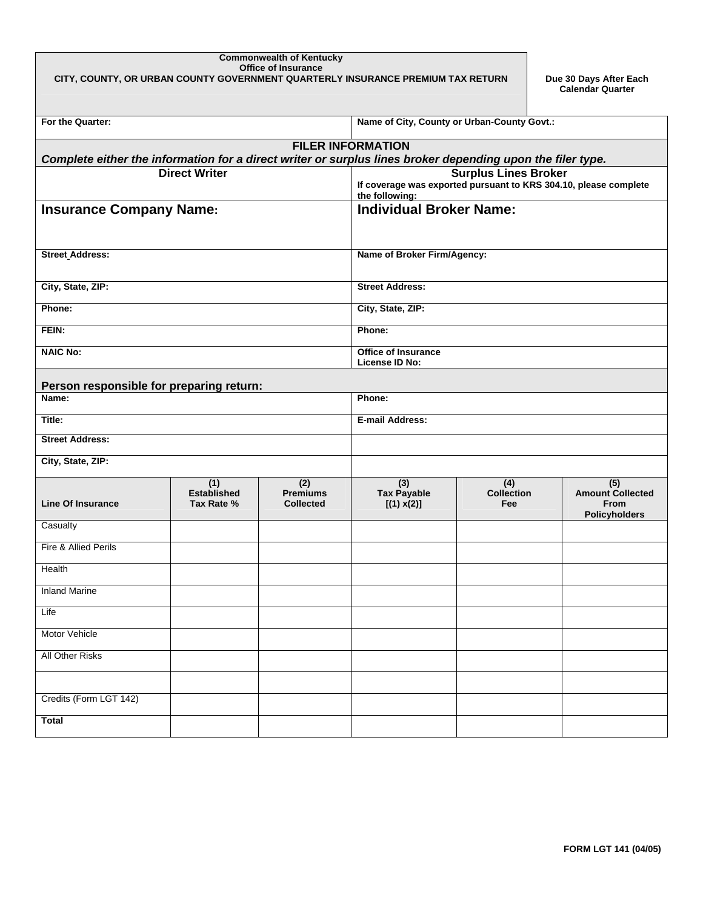## **Commonwealth of Kentucky Office of Insurance CITY, COUNTY, OR URBAN COUNTY GOVERNMENT QUARTERLY INSURANCE PREMIUM TAX RETURN Due 30 Days After Each**

**Calendar Quarter** 

| For the Quarter:                                                                                                                       | Name of City, County or Urban-County Govt.: |                                            |                                                                                    |                                 |                                                                       |  |  |  |  |  |  |
|----------------------------------------------------------------------------------------------------------------------------------------|---------------------------------------------|--------------------------------------------|------------------------------------------------------------------------------------|---------------------------------|-----------------------------------------------------------------------|--|--|--|--|--|--|
| <b>FILER INFORMATION</b><br>Complete either the information for a direct writer or surplus lines broker depending upon the filer type. |                                             |                                            |                                                                                    |                                 |                                                                       |  |  |  |  |  |  |
| <b>Direct Writer</b><br><b>Surplus Lines Broker</b>                                                                                    |                                             |                                            |                                                                                    |                                 |                                                                       |  |  |  |  |  |  |
|                                                                                                                                        |                                             |                                            | If coverage was exported pursuant to KRS 304.10, please complete<br>the following: |                                 |                                                                       |  |  |  |  |  |  |
| <b>Insurance Company Name:</b>                                                                                                         |                                             |                                            | <b>Individual Broker Name:</b>                                                     |                                 |                                                                       |  |  |  |  |  |  |
|                                                                                                                                        |                                             |                                            |                                                                                    |                                 |                                                                       |  |  |  |  |  |  |
| <b>Street Address:</b>                                                                                                                 |                                             |                                            | Name of Broker Firm/Agency:                                                        |                                 |                                                                       |  |  |  |  |  |  |
| City, State, ZIP:                                                                                                                      |                                             |                                            | <b>Street Address:</b>                                                             |                                 |                                                                       |  |  |  |  |  |  |
| Phone:                                                                                                                                 |                                             |                                            | City, State, ZIP:                                                                  |                                 |                                                                       |  |  |  |  |  |  |
| FEIN:                                                                                                                                  |                                             |                                            | Phone:                                                                             |                                 |                                                                       |  |  |  |  |  |  |
| <b>NAIC No:</b>                                                                                                                        |                                             |                                            | <b>Office of Insurance</b><br>License ID No:                                       |                                 |                                                                       |  |  |  |  |  |  |
| Person responsible for preparing return:                                                                                               |                                             |                                            |                                                                                    |                                 |                                                                       |  |  |  |  |  |  |
| Name:                                                                                                                                  |                                             |                                            | Phone:                                                                             |                                 |                                                                       |  |  |  |  |  |  |
| Title:                                                                                                                                 |                                             |                                            | <b>E-mail Address:</b>                                                             |                                 |                                                                       |  |  |  |  |  |  |
| <b>Street Address:</b>                                                                                                                 |                                             |                                            |                                                                                    |                                 |                                                                       |  |  |  |  |  |  |
| City, State, ZIP:                                                                                                                      |                                             |                                            |                                                                                    |                                 |                                                                       |  |  |  |  |  |  |
| <b>Line Of Insurance</b>                                                                                                               | (1)<br><b>Established</b><br>Tax Rate %     | (2)<br><b>Premiums</b><br><b>Collected</b> | $\overline{(3)}$<br><b>Tax Payable</b><br>[(1) x(2)]                               | (4)<br><b>Collection</b><br>Fee | (5)<br><b>Amount Collected</b><br><b>From</b><br><b>Policyholders</b> |  |  |  |  |  |  |
| Casualty                                                                                                                               |                                             |                                            |                                                                                    |                                 |                                                                       |  |  |  |  |  |  |
| Fire & Allied Perils                                                                                                                   |                                             |                                            |                                                                                    |                                 |                                                                       |  |  |  |  |  |  |
| Health                                                                                                                                 |                                             |                                            |                                                                                    |                                 |                                                                       |  |  |  |  |  |  |
| <b>Inland Marine</b>                                                                                                                   |                                             |                                            |                                                                                    |                                 |                                                                       |  |  |  |  |  |  |
| Life                                                                                                                                   |                                             |                                            |                                                                                    |                                 |                                                                       |  |  |  |  |  |  |
| Motor Vehicle                                                                                                                          |                                             |                                            |                                                                                    |                                 |                                                                       |  |  |  |  |  |  |
| <b>All Other Risks</b>                                                                                                                 |                                             |                                            |                                                                                    |                                 |                                                                       |  |  |  |  |  |  |
|                                                                                                                                        |                                             |                                            |                                                                                    |                                 |                                                                       |  |  |  |  |  |  |
| Credits (Form LGT 142)                                                                                                                 |                                             |                                            |                                                                                    |                                 |                                                                       |  |  |  |  |  |  |
| <b>Total</b>                                                                                                                           |                                             |                                            |                                                                                    |                                 |                                                                       |  |  |  |  |  |  |